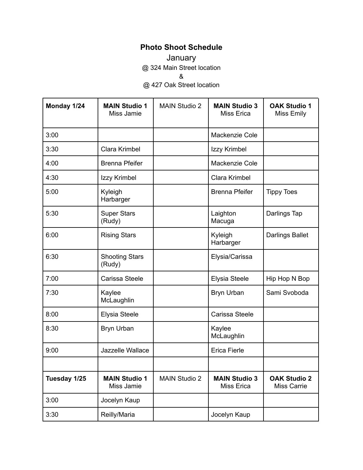## **Photo Shoot Schedule**

January @ 324 Main Street location &

@ 427 Oak Street location

| Monday 1/24  | <b>MAIN Studio 1</b><br>Miss Jamie | <b>MAIN Studio 2</b> | <b>MAIN Studio 3</b><br>Miss Erica        | <b>OAK Studio 1</b><br>Miss Emily         |
|--------------|------------------------------------|----------------------|-------------------------------------------|-------------------------------------------|
| 3:00         |                                    |                      | Mackenzie Cole                            |                                           |
| 3:30         | Clara Krimbel                      |                      | Izzy Krimbel                              |                                           |
| 4:00         | <b>Brenna Pfeifer</b>              |                      | Mackenzie Cole                            |                                           |
| 4:30         | Izzy Krimbel                       |                      | Clara Krimbel                             |                                           |
| 5:00         | Kyleigh<br>Harbarger               |                      | <b>Brenna Pfeifer</b>                     | <b>Tippy Toes</b>                         |
| 5:30         | <b>Super Stars</b><br>(Rudy)       |                      | Laighton<br>Macuga                        | Darlings Tap                              |
| 6:00         | <b>Rising Stars</b>                |                      | Kyleigh<br>Harbarger                      | <b>Darlings Ballet</b>                    |
| 6:30         | <b>Shooting Stars</b><br>(Rudy)    |                      | Elysia/Carissa                            |                                           |
| 7:00         | Carissa Steele                     |                      | Elysia Steele                             | Hip Hop N Bop                             |
| 7:30         | Kaylee<br>McLaughlin               |                      | Bryn Urban                                | Sami Svoboda                              |
| 8:00         | Elysia Steele                      |                      | Carissa Steele                            |                                           |
| 8:30         | <b>Bryn Urban</b>                  |                      | Kaylee<br>McLaughlin                      |                                           |
| 9:00         | Jazzelle Wallace                   |                      | <b>Erica Fierle</b>                       |                                           |
|              |                                    |                      |                                           |                                           |
| Tuesday 1/25 | <b>MAIN Studio 1</b><br>Miss Jamie | <b>MAIN Studio 2</b> | <b>MAIN Studio 3</b><br><b>Miss Erica</b> | <b>OAK Studio 2</b><br><b>Miss Carrie</b> |
| 3:00         | Jocelyn Kaup                       |                      |                                           |                                           |
| 3:30         | Reilly/Maria                       |                      | Jocelyn Kaup                              |                                           |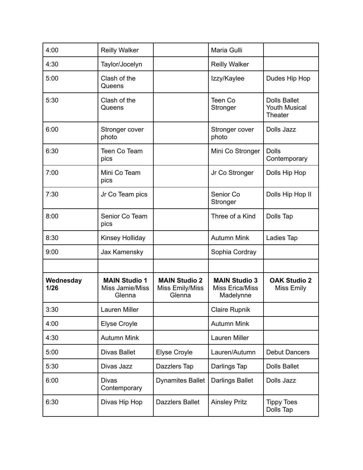| 4:00              | <b>Reilly Walker</b>                              |                                                   | Maria Gulli                                          |                                                 |
|-------------------|---------------------------------------------------|---------------------------------------------------|------------------------------------------------------|-------------------------------------------------|
| 4:30              | Taylor/Jocelyn                                    |                                                   | <b>Reilly Walker</b>                                 |                                                 |
| 5:00              | Clash of the<br>Queens                            |                                                   | Izzy/Kaylee                                          | Dudes Hip Hop                                   |
| 5:30              | Clash of the<br>Queens                            |                                                   | Teen Co<br>Stronger                                  | <b>Dolls Ballet</b><br>Youth Musical<br>Theater |
| 6:00              | Stronger cover<br>photo                           |                                                   | Stronger cover<br>photo                              | Dolls Jazz                                      |
| 6:30              | Teen Co Team<br>pics                              |                                                   | Mini Co Stronger                                     | <b>Dolls</b><br>Contemporary                    |
| 7:00              | Mini Co Team<br>pics                              |                                                   | Jr Co Stronger                                       | Dolls Hip Hop                                   |
| 7:30              | Jr Co Team pics                                   |                                                   | Senior Co<br>Stronger                                | Dolls Hip Hop II                                |
| 8:00              | Senior Co Team<br>pics                            |                                                   | Three of a Kind                                      | Dolls Tap                                       |
| 8:30              | Kinsey Holliday                                   |                                                   | <b>Autumn Mink</b>                                   | Ladies Tap                                      |
| 9:00              | Jax Kamensky                                      |                                                   | Sophia Cordray                                       |                                                 |
|                   |                                                   |                                                   |                                                      |                                                 |
| Wednesday<br>1/26 | <b>MAIN Studio 1</b><br>Miss Jamie/Miss<br>Glenna | <b>MAIN Studio 2</b><br>Miss Emily/Miss<br>Glenna | <b>MAIN Studio 3</b><br>Miss Erica/Miss<br>Madelynne | <b>OAK Studio 2</b><br>Miss Emily               |
| 3:30              | Lauren Miller                                     |                                                   | <b>Claire Rupnik</b>                                 |                                                 |
| 4:00              | <b>Elyse Croyle</b>                               |                                                   | <b>Autumn Mink</b>                                   |                                                 |
| 4:30              | <b>Autumn Mink</b>                                |                                                   | Lauren Miller                                        |                                                 |
| 5:00              | <b>Divas Ballet</b>                               | <b>Elyse Croyle</b>                               | Lauren/Autumn                                        | <b>Debut Dancers</b>                            |
| 5:30              | Divas Jazz                                        | Dazzlers Tap                                      | Darlings Tap                                         | <b>Dolls Ballet</b>                             |
| 6:00              | <b>Divas</b><br>Contemporary                      | <b>Dynamites Ballet</b>                           | <b>Darlings Ballet</b>                               | Dolls Jazz                                      |
| 6:30              | Divas Hip Hop                                     | <b>Dazzlers Ballet</b>                            | <b>Ainsley Pritz</b>                                 | <b>Tippy Toes</b><br>Dolls Tap                  |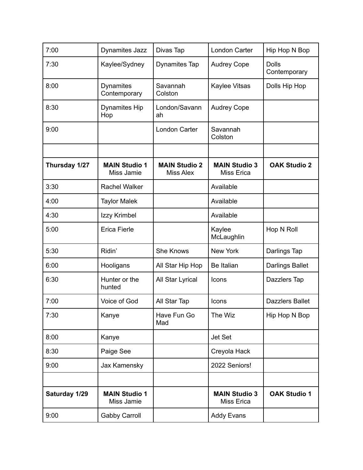| 7:00          | <b>Dynamites Jazz</b>              | Divas Tap                                | <b>London Carter</b>                      | Hip Hop N Bop                |
|---------------|------------------------------------|------------------------------------------|-------------------------------------------|------------------------------|
| 7:30          | Kaylee/Sydney                      | <b>Dynamites Tap</b>                     | <b>Audrey Cope</b>                        | <b>Dolls</b><br>Contemporary |
| 8:00          | <b>Dynamites</b><br>Contemporary   | Savannah<br>Colston                      | Kaylee Vitsas                             | Dolls Hip Hop                |
| 8:30          | <b>Dynamites Hip</b><br>Hop        | London/Savann<br>ah                      | <b>Audrey Cope</b>                        |                              |
| 9:00          |                                    | <b>London Carter</b>                     | Savannah<br>Colston                       |                              |
|               |                                    |                                          |                                           |                              |
| Thursday 1/27 | <b>MAIN Studio 1</b><br>Miss Jamie | <b>MAIN Studio 2</b><br><b>Miss Alex</b> | <b>MAIN Studio 3</b><br><b>Miss Erica</b> | <b>OAK Studio 2</b>          |
| 3:30          | <b>Rachel Walker</b>               |                                          | Available                                 |                              |
| 4:00          | <b>Taylor Malek</b>                |                                          | Available                                 |                              |
| 4:30          | Izzy Krimbel                       |                                          | Available                                 |                              |
| 5:00          | <b>Erica Fierle</b>                |                                          | Kaylee<br>McLaughlin                      | Hop N Roll                   |
| 5:30          | Ridin'                             | <b>She Knows</b>                         | <b>New York</b>                           | Darlings Tap                 |
| 6:00          | Hooligans                          | All Star Hip Hop                         | Be Italian                                | <b>Darlings Ballet</b>       |
| 6:30          | Hunter or the<br>hunted            | All Star Lyrical                         | Icons                                     | Dazzlers Tap                 |
| 7:00          | Voice of God                       | All Star Tap                             | <b>Icons</b>                              | <b>Dazzlers Ballet</b>       |
| 7:30          | Kanye                              | Have Fun Go<br>Mad                       | The Wiz                                   | Hip Hop N Bop                |
| 8:00          | Kanye                              |                                          | <b>Jet Set</b>                            |                              |
| 8:30          | Paige See                          |                                          | Creyola Hack                              |                              |
| 9:00          | Jax Kamensky                       |                                          | 2022 Seniors!                             |                              |
|               |                                    |                                          |                                           |                              |
| Saturday 1/29 | <b>MAIN Studio 1</b><br>Miss Jamie |                                          | <b>MAIN Studio 3</b><br><b>Miss Erica</b> | <b>OAK Studio 1</b>          |
| 9:00          | <b>Gabby Carroll</b>               |                                          | <b>Addy Evans</b>                         |                              |